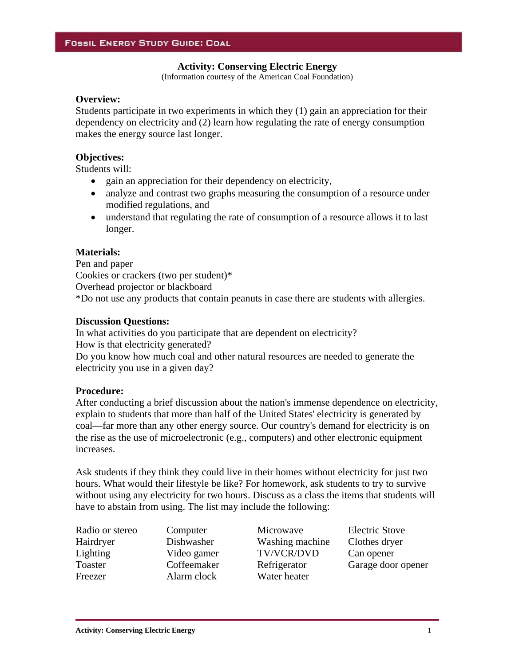#### **Activity: Conserving Electric Energy**

(Information courtesy of the American Coal Foundation)

# **Overview:**

Students participate in two experiments in which they (1) gain an appreciation for their dependency on electricity and (2) learn how regulating the rate of energy consumption makes the energy source last longer.

#### **Objectives:**

Students will:

- gain an appreciation for their dependency on electricity,
- analyze and contrast two graphs measuring the consumption of a resource under modified regulations, and
- understand that regulating the rate of consumption of a resource allows it to last longer.

### **Materials:**

Pen and paper Cookies or crackers (two per student)\* Overhead projector or blackboard \*Do not use any products that contain peanuts in case there are students with allergies.

#### **Discussion Questions:**

In what activities do you participate that are dependent on electricity? How is that electricity generated? Do you know how much coal and other natural resources are needed to generate the electricity you use in a given day?

#### **Procedure:**

After conducting a brief discussion about the nation's immense dependence on electricity, explain to students that more than half of the United States' electricity is generated by coal—far more than any other energy source. Our country's demand for electricity is on the rise as the use of microelectronic (e.g., computers) and other electronic equipment increases.

Ask students if they think they could live in their homes without electricity for just two hours. What would their lifestyle be like? For homework, ask students to try to survive without using any electricity for two hours. Discuss as a class the items that students will have to abstain from using. The list may include the following:

Freezer Alarm clock Water heater

Radio or stereo Computer Microwave Electric Stove Hairdryer Dishwasher Washing machine Clothes dryer Lighting Video gamer TV/VCR/DVD Can opener

Toaster Coffeemaker Refrigerator Garage door opener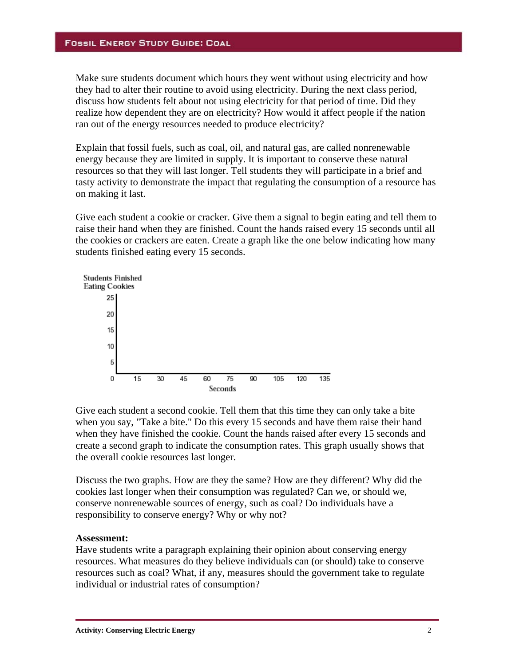# **FOSSIL ENERGY STUDY GUIDE: COAL**

Make sure students document which hours they went without using electricity and how they had to alter their routine to avoid using electricity. During the next class period, discuss how students felt about not using electricity for that period of time. Did they realize how dependent they are on electricity? How would it affect people if the nation ran out of the energy resources needed to produce electricity?

Explain that fossil fuels, such as coal, oil, and natural gas, are called nonrenewable energy because they are limited in supply. It is important to conserve these natural resources so that they will last longer. Tell students they will participate in a brief and tasty activity to demonstrate the impact that regulating the consumption of a resource has on making it last.

Give each student a cookie or cracker. Give them a signal to begin eating and tell them to raise their hand when they are finished. Count the hands raised every 15 seconds until all the cookies or crackers are eaten. Create a graph like the one below indicating how many students finished eating every 15 seconds.



Give each student a second cookie. Tell them that this time they can only take a bite when you say, "Take a bite." Do this every 15 seconds and have them raise their hand when they have finished the cookie. Count the hands raised after every 15 seconds and create a second graph to indicate the consumption rates. This graph usually shows that the overall cookie resources last longer.

Discuss the two graphs. How are they the same? How are they different? Why did the cookies last longer when their consumption was regulated? Can we, or should we, conserve nonrenewable sources of energy, such as coal? Do individuals have a responsibility to conserve energy? Why or why not?

#### **Assessment:**

Have students write a paragraph explaining their opinion about conserving energy resources. What measures do they believe individuals can (or should) take to conserve resources such as coal? What, if any, measures should the government take to regulate individual or industrial rates of consumption?